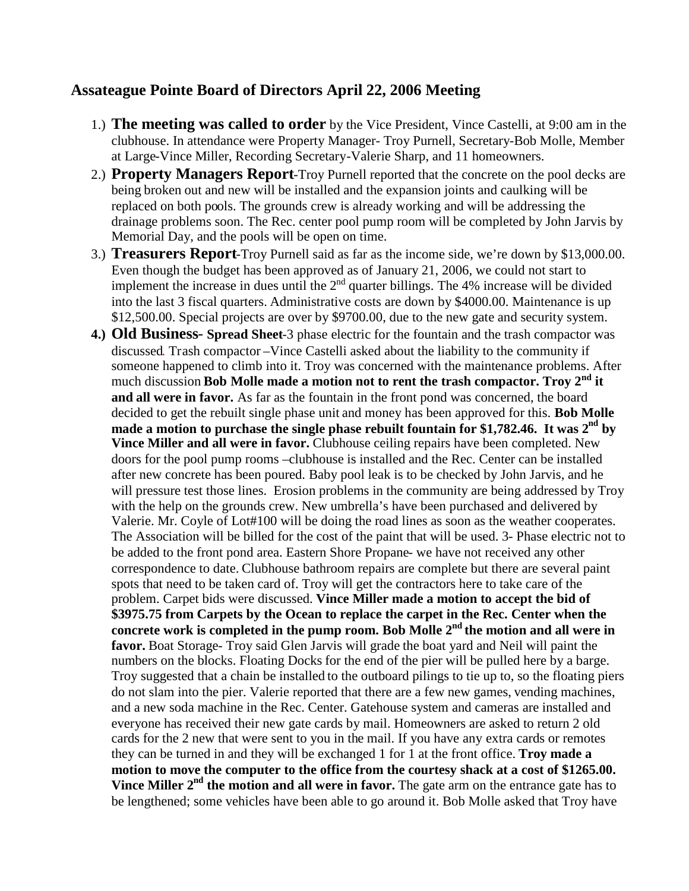## **Assateague Pointe Board of Directors April 22, 2006 Meeting**

- 1.) **The meeting was called to order** by the Vice President, Vince Castelli, at 9:00 am in the clubhouse. In attendance were Property Manager- Troy Purnell, Secretary-Bob Molle, Member at Large-Vince Miller, Recording Secretary-Valerie Sharp, and 11 homeowners.
- 2.) **Property Managers Report**-Troy Purnell reported that the concrete on the pool decks are being broken out and new will be installed and the expansion joints and caulking will be replaced on both pools. The grounds crew is already working and will be addressing the drainage problems soon. The Rec. center pool pump room will be completed by John Jarvis by Memorial Day, and the pools will be open on time.
- 3.) **Treasurers Report**-Troy Purnell said as far as the income side, we're down by \$13,000.00. Even though the budget has been approved as of January 21, 2006, we could not start to implement the increase in dues until the  $2<sup>nd</sup>$  quarter billings. The 4% increase will be divided into the last 3 fiscal quarters. Administrative costs are down by \$4000.00. Maintenance is up \$12,500.00. Special projects are over by \$9700.00, due to the new gate and security system.
- **4.) Old Business Spread Sheet**-3 phase electric for the fountain and the trash compactor was discussed. Trash compactor –Vince Castelli asked about the liability to the community if someone happened to climb into it. Troy was concerned with the maintenance problems. After much discussion **Bob Molle made a motion not to rent the trash compactor. Troy 2nd it and all were in favor.** As far as the fountain in the front pond was concerned, the board decided to get the rebuilt single phase unit and money has been approved for this. **Bob Molle made a motion to purchase the single phase rebuilt fountain for \$1,782.46. It was 2nd by Vince Miller and all were in favor.** Clubhouse ceiling repairs have been completed. New doors for the pool pump rooms –clubhouse is installed and the Rec. Center can be installed after new concrete has been poured. Baby pool leak is to be checked by John Jarvis, and he will pressure test those lines. Erosion problems in the community are being addressed by Troy with the help on the grounds crew. New umbrella's have been purchased and delivered by Valerie. Mr. Coyle of Lot#100 will be doing the road lines as soon as the weather cooperates. The Association will be billed for the cost of the paint that will be used. 3- Phase electric not to be added to the front pond area. Eastern Shore Propane- we have not received any other correspondence to date. Clubhouse bathroom repairs are complete but there are several paint spots that need to be taken card of. Troy will get the contractors here to take care of the problem. Carpet bids were discussed. **Vince Miller made a motion to accept the bid of \$3975.75 from Carpets by the Ocean to replace the carpet in the Rec. Center when the concrete work is completed in the pump room. Bob Molle 2nd the motion and all were in favor.** Boat Storage- Troy said Glen Jarvis will grade the boat yard and Neil will paint the numbers on the blocks. Floating Docks for the end of the pier will be pulled here by a barge. Troy suggested that a chain be installed to the outboard pilings to tie up to, so the floating piers do not slam into the pier. Valerie reported that there are a few new games, vending machines, and a new soda machine in the Rec. Center. Gatehouse system and cameras are installed and everyone has received their new gate cards by mail. Homeowners are asked to return 2 old cards for the 2 new that were sent to you in the mail. If you have any extra cards or remotes they can be turned in and they will be exchanged 1 for 1 at the front office. **Troy made a motion to move the computer to the office from the courtesy shack at a cost of \$1265.00. Vince Miller 2<sup>nd</sup> the motion and all were in favor.** The gate arm on the entrance gate has to be lengthened; some vehicles have been able to go around it. Bob Molle asked that Troy have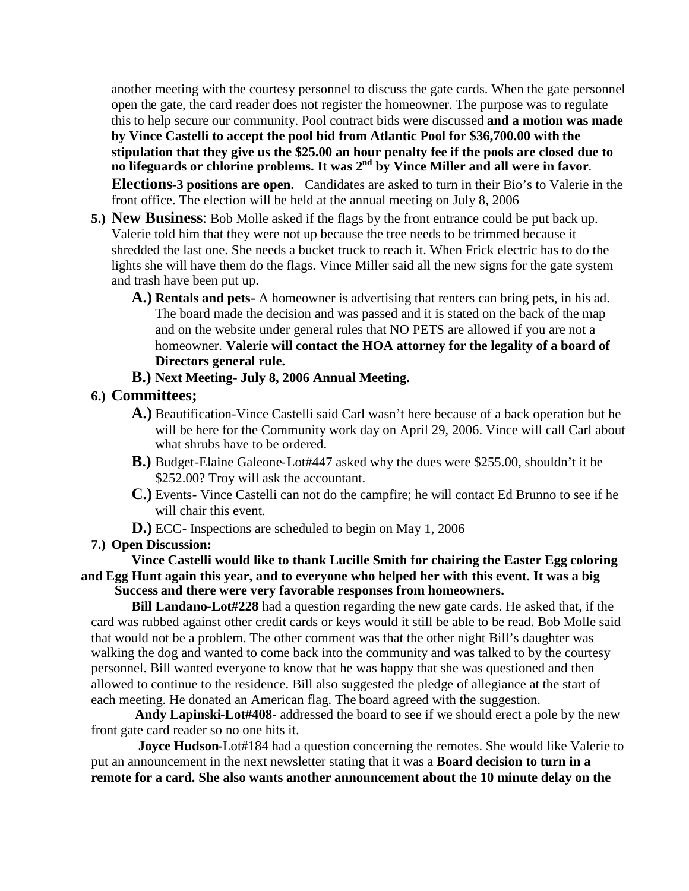another meeting with the courtesy personnel to discuss the gate cards. When the gate personnel open the gate, the card reader does not register the homeowner. The purpose was to regulate this to help secure our community. Pool contract bids were discussed **and a motion was made by Vince Castelli to accept the pool bid from Atlantic Pool for \$36,700.00 with the stipulation that they give us the \$25.00 an hour penalty fee if the pools are closed due to no lifeguards or chlorine problems. It was 2nd by Vince Miller and all were in favor**. **Elections-3 positions are open.** Candidates are asked to turn in their Bio's to Valerie in the front office. The election will be held at the annual meeting on July 8, 2006

- **5.) New Business**: Bob Molle asked if the flags by the front entrance could be put back up. Valerie told him that they were not up because the tree needs to be trimmed because it shredded the last one. She needs a bucket truck to reach it. When Frick electric has to do the lights she will have them do the flags. Vince Miller said all the new signs for the gate system and trash have been put up.
	- **A.) Rentals and pets-** A homeowner is advertising that renters can bring pets, in his ad. The board made the decision and was passed and it is stated on the back of the map and on the website under general rules that NO PETS are allowed if you are not a homeowner. **Valerie will contact the HOA attorney for the legality of a board of Directors general rule.**
	- **B.) Next Meeting- July 8, 2006 Annual Meeting.**
- **6.) Committees;**
	- **A.)** Beautification-Vince Castelli said Carl wasn't here because of a back operation but he will be here for the Community work day on April 29, 2006. Vince will call Carl about what shrubs have to be ordered.
	- **B.)** Budget-Elaine Galeone-Lot#447 asked why the dues were \$255.00, shouldn't it be \$252.00? Troy will ask the accountant.
	- **C.)** Events- Vince Castelli can not do the campfire; he will contact Ed Brunno to see if he will chair this event.
	- **D.)** ECC- Inspections are scheduled to begin on May 1, 2006

## **7.) Open Discussion:**

## **Vince Castelli would like to thank Lucille Smith for chairing the Easter Egg coloring and Egg Hunt again this year, and to everyone who helped her with this event. It was a big Success and there were very favorable responses from homeowners.**

**Bill Landano-Lot#228** had a question regarding the new gate cards. He asked that, if the card was rubbed against other credit cards or keys would it still be able to be read. Bob Molle said that would not be a problem. The other comment was that the other night Bill's daughter was walking the dog and wanted to come back into the community and was talked to by the courtesy personnel. Bill wanted everyone to know that he was happy that she was questioned and then allowed to continue to the residence. Bill also suggested the pledge of allegiance at the start of each meeting. He donated an American flag. The board agreed with the suggestion.

**Andy Lapinski-Lot#408-** addressed the board to see if we should erect a pole by the new front gate card reader so no one hits it.

**Joyce Hudson-**Lot#184 had a question concerning the remotes. She would like Valerie to put an announcement in the next newsletter stating that it was a **Board decision to turn in a remote for a card. She also wants another announcement about the 10 minute delay on the**